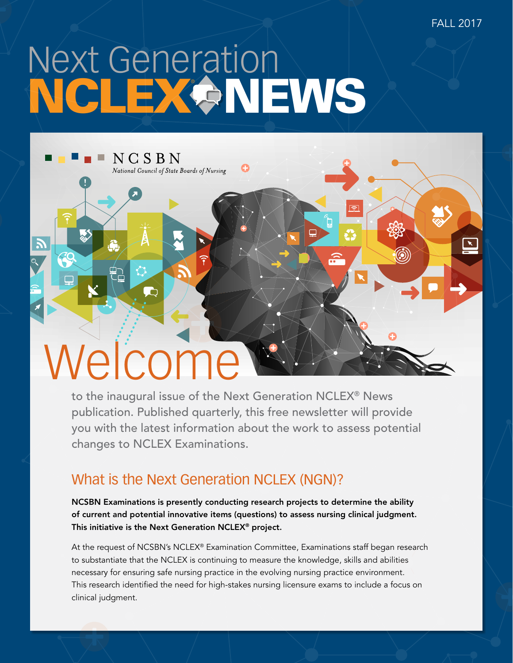FALL 2017

# Next Generation NCLEX & NEWS



to the inaugural issue of the Next Generation NCLEX® News publication. Published quarterly, this free newsletter will provide you with the latest information about the work to assess potential changes to NCLEX Examinations.

## What is the Next Generation NCLEX (NGN)?

NCSBN Examinations is presently conducting research projects to determine the ability of current and potential innovative items (questions) to assess nursing clinical judgment. This initiative is the Next Generation NCLEX® project.

At the request of NCSBN's NCLEX® Examination Committee, Examinations staff began research to substantiate that the NCLEX is continuing to measure the knowledge, skills and abilities necessary for ensuring safe nursing practice in the evolving nursing practice environment. This research identified the need for high-stakes nursing licensure exams to include a focus on clinical judgment.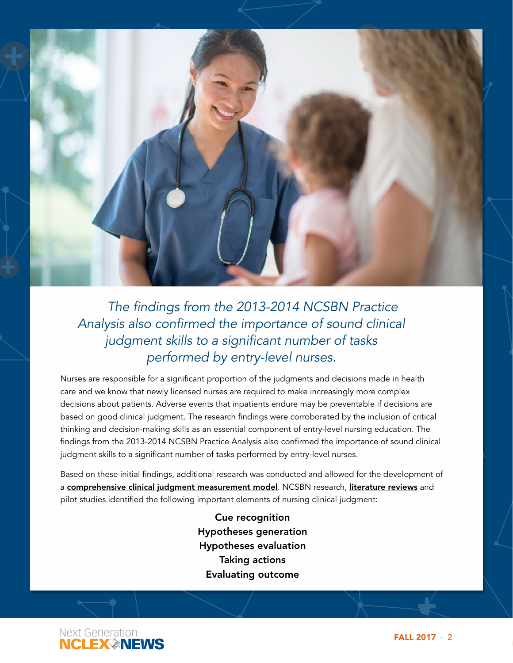

*The findings from the 2013-2014 NCSBN Practice Analysis also confirmed the importance of sound clinical judgment skills to a significant number of tasks performed by entry-level nurses.*

Nurses are responsible for a significant proportion of the judgments and decisions made in health care and we know that newly licensed nurses are required to make increasingly more complex decisions about patients. Adverse events that inpatients endure may be preventable if decisions are based on good clinical judgment. The research findings were corroborated by the inclusion of critical thinking and decision-making skills as an essential component of entry-level nursing education. The findings from the 2013-2014 NCSBN Practice Analysis also confirmed the importance of sound clinical judgment skills to a significant number of tasks performed by entry-level nurses.

Based on these initial findings, additional research was conducted and allowed for the development of a [comprehensive clinical judgment measurement model](http://www.jattjournal.com/index.php/atp/article/view/89187/67797). NCSBN research, [literature reviews](https://www.ncsbn.org/Clinical_Judgment_Lit_Review_Executive_Summary.pdf) and pilot studies identified the following important elements of nursing clinical judgment:

> Cue recognition Hypotheses generation Hypotheses evaluation Taking actions Evaluating outcome

Next Generation **NCLEX INEWS** 

FALL 2017 · 2